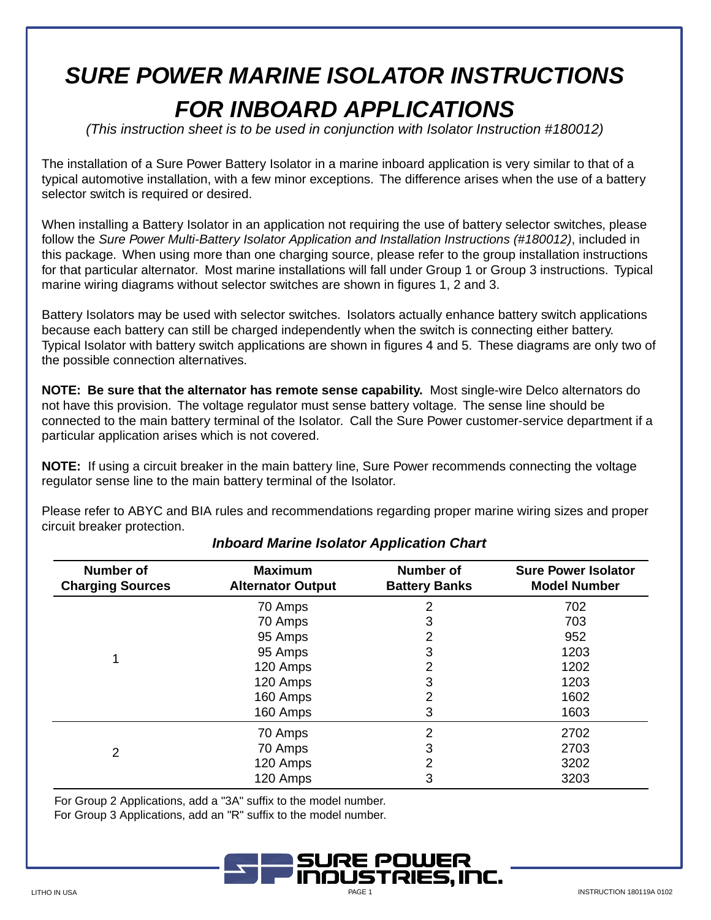# **SURE POWER MARINE ISOLATOR INSTRUCTIONS FOR INBOARD APPLICATIONS**

(This instruction sheet is to be used in conjunction with Isolator Instruction #180012)

The installation of a Sure Power Battery Isolator in a marine inboard application is very similar to that of a typical automotive installation, with a few minor exceptions. The difference arises when the use of a battery selector switch is required or desired.

When installing a Battery Isolator in an application not requiring the use of battery selector switches, please follow the Sure Power Multi-Battery Isolator Application and Installation Instructions (#180012), included in this package. When using more than one charging source, please refer to the group installation instructions for that particular alternator. Most marine installations will fall under Group 1 or Group 3 instructions. Typical marine wiring diagrams without selector switches are shown in figures 1, 2 and 3.

Battery Isolators may be used with selector switches. Isolators actually enhance battery switch applications because each battery can still be charged independently when the switch is connecting either battery. Typical Isolator with battery switch applications are shown in figures 4 and 5. These diagrams are only two of the possible connection alternatives.

**NOTE: Be sure that the alternator has remote sense capability.** Most single-wire Delco alternators do not have this provision. The voltage regulator must sense battery voltage. The sense line should be connected to the main battery terminal of the Isolator. Call the Sure Power customer-service department if a particular application arises which is not covered.

**NOTE:** If using a circuit breaker in the main battery line, Sure Power recommends connecting the voltage regulator sense line to the main battery terminal of the Isolator.

Please refer to ABYC and BIA rules and recommendations regarding proper marine wiring sizes and proper circuit breaker protection.

| <b>Number of</b><br><b>Charging Sources</b> | <b>Maximum</b><br><b>Alternator Output</b> | <b>Number of</b><br><b>Battery Banks</b> | <b>Sure Power Isolator</b><br><b>Model Number</b> |
|---------------------------------------------|--------------------------------------------|------------------------------------------|---------------------------------------------------|
| 1                                           | 70 Amps                                    | 2                                        | 702                                               |
|                                             | 70 Amps                                    | 3                                        | 703                                               |
|                                             | 95 Amps                                    | 2                                        | 952                                               |
|                                             | 95 Amps                                    | 3                                        | 1203                                              |
|                                             | 120 Amps                                   | 2                                        | 1202                                              |
|                                             | 120 Amps                                   | 3                                        | 1203                                              |
|                                             | 160 Amps                                   | 2                                        | 1602                                              |
|                                             | 160 Amps                                   | 3                                        | 1603                                              |
| $\overline{2}$                              | 70 Amps                                    | $\overline{2}$                           | 2702                                              |
|                                             | 70 Amps                                    | 3                                        | 2703                                              |
|                                             | 120 Amps                                   | 2                                        | 3202                                              |
|                                             | 120 Amps                                   | 3                                        | 3203                                              |

# **Inboard Marine Isolator Application Chart**

For Group 2 Applications, add a "3A" suffix to the model number.

For Group 3 Applications, add an "R" suffix to the model number.

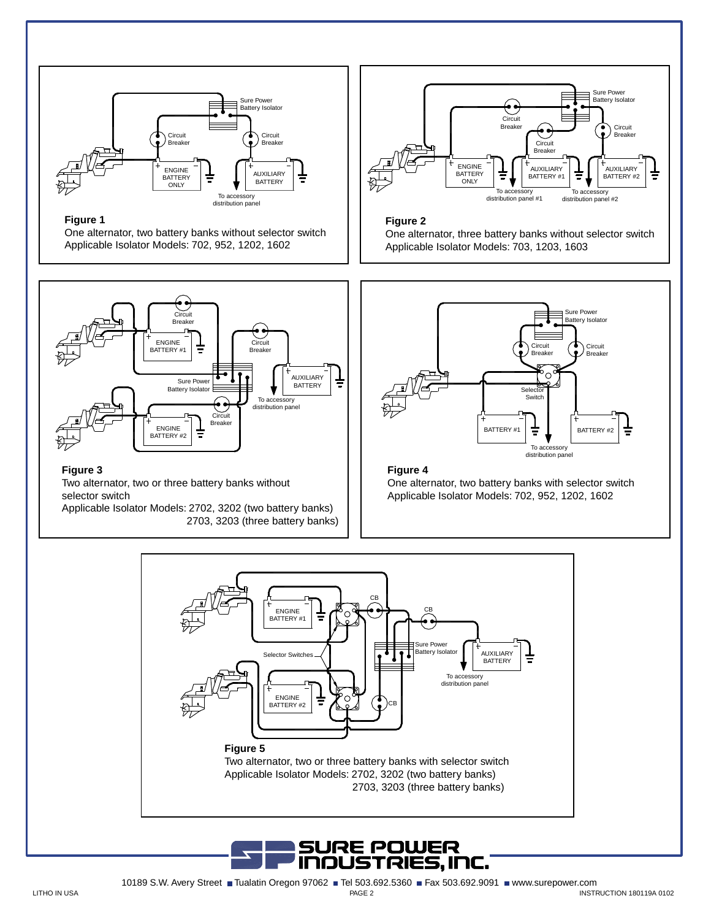

#### **Figure 1**

One alternator, two battery banks without selector switch Applicable Isolator Models: 702, 952, 1202, 1602



### **Figure 3**

Two alternator, two or three battery banks without selector switch

Applicable Isolator Models: 2702, 3202 (two battery banks) 2703, 3203 (three battery banks)



### **Figure 2**

One alternator, three battery banks without selector switch Applicable Isolator Models: 703, 1203, 1603



## **Figure 4**

One alternator, two battery banks with selector switch Applicable Isolator Models: 702, 952, 1202, 1602

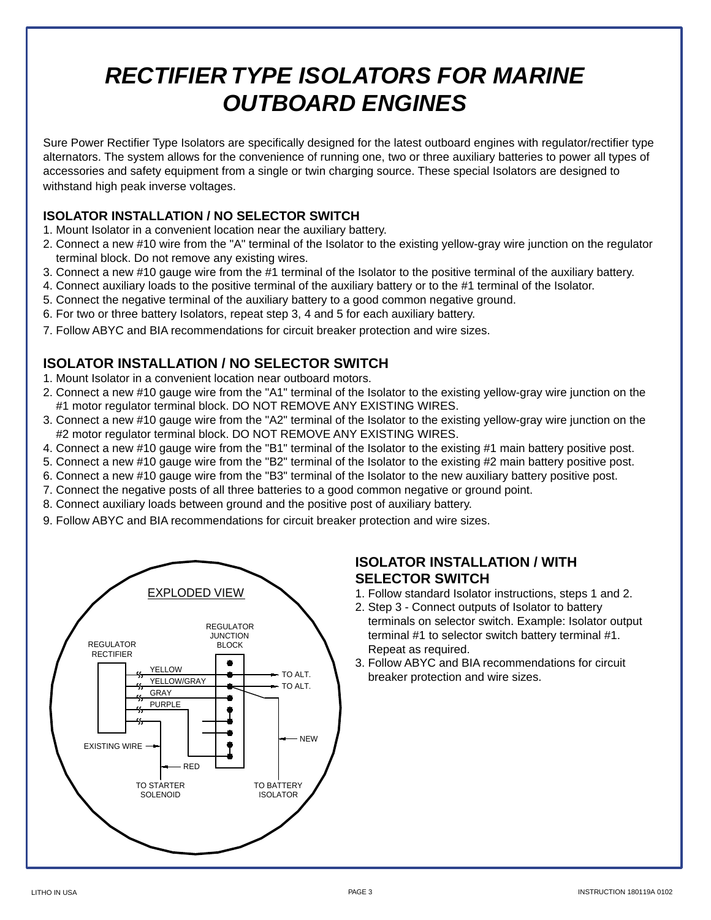# **RECTIFIER TYPE ISOLATORS FOR MARINE OUTBOARD ENGINES**

Sure Power Rectifier Type Isolators are specifically designed for the latest outboard engines with regulator/rectifier type alternators. The system allows for the convenience of running one, two or three auxiliary batteries to power all types of accessories and safety equipment from a single or twin charging source. These special Isolators are designed to withstand high peak inverse voltages.

## **ISOLATOR INSTALLATION / NO SELECTOR SWITCH**

- 1. Mount Isolator in a convenient location near the auxiliary battery.
- 2. Connect a new #10 wire from the "A" terminal of the Isolator to the existing yellow-gray wire junction on the regulator terminal block. Do not remove any existing wires.
- 3. Connect a new #10 gauge wire from the #1 terminal of the Isolator to the positive terminal of the auxiliary battery.
- 4. Connect auxiliary loads to the positive terminal of the auxiliary battery or to the #1 terminal of the Isolator.
- 5. Connect the negative terminal of the auxiliary battery to a good common negative ground.
- 6. For two or three battery Isolators, repeat step 3, 4 and 5 for each auxiliary battery.
- 7. Follow ABYC and BIA recommendations for circuit breaker protection and wire sizes.

# **ISOLATOR INSTALLATION / NO SELECTOR SWITCH**

- 1. Mount Isolator in a convenient location near outboard motors.
- 2. Connect a new #10 gauge wire from the "A1" terminal of the Isolator to the existing yellow-gray wire junction on the #1 motor regulator terminal block. DO NOT REMOVE ANY EXISTING WIRES.
- 3. Connect a new #10 gauge wire from the "A2" terminal of the Isolator to the existing yellow-gray wire junction on the #2 motor regulator terminal block. DO NOT REMOVE ANY EXISTING WIRES.
- 4. Connect a new #10 gauge wire from the "B1" terminal of the Isolator to the existing #1 main battery positive post.
- 5. Connect a new #10 gauge wire from the "B2" terminal of the Isolator to the existing #2 main battery positive post.
- 6. Connect a new #10 gauge wire from the "B3" terminal of the Isolator to the new auxiliary battery positive post.
- 7. Connect the negative posts of all three batteries to a good common negative or ground point.
- 8. Connect auxiliary loads between ground and the positive post of auxiliary battery.
- 9. Follow ABYC and BIA recommendations for circuit breaker protection and wire sizes.



## **ISOLATOR INSTALLATION / WITH SELECTOR SWITCH**

- 1. Follow standard Isolator instructions, steps 1 and 2.
- 2. Step 3 Connect outputs of Isolator to battery terminals on selector switch. Example: Isolator output terminal #1 to selector switch battery terminal #1. Repeat as required.
- 3. Follow ABYC and BIA recommendations for circuit breaker protection and wire sizes.